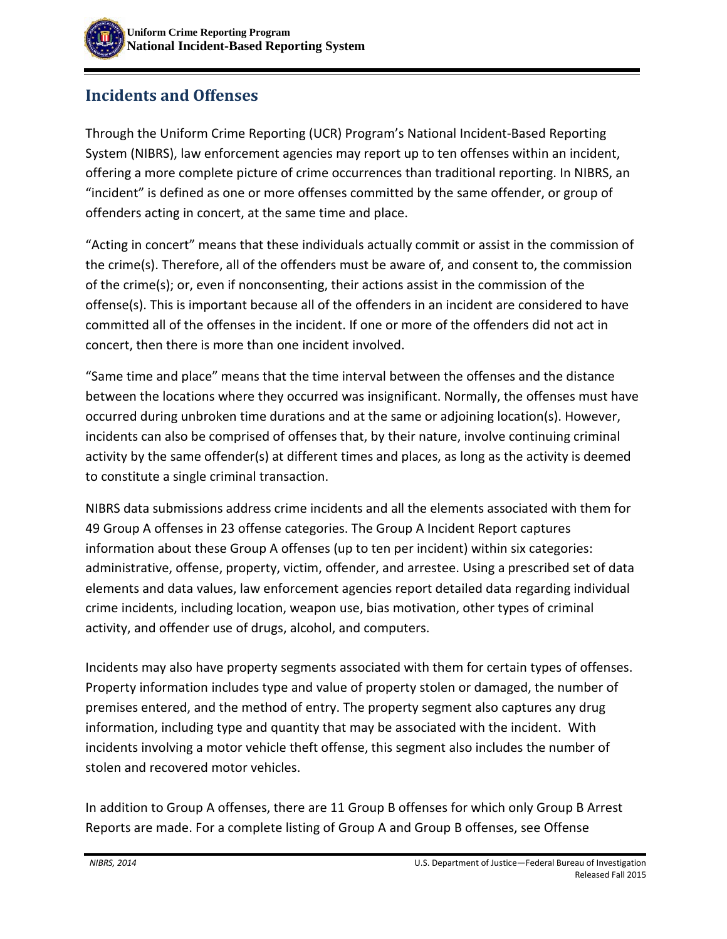# **Incidents and Offenses**

Through the Uniform Crime Reporting (UCR) Program's National Incident-Based Reporting System (NIBRS), law enforcement agencies may report up to ten offenses within an incident, offering a more complete picture of crime occurrences than traditional reporting. In NIBRS, an "incident" is defined as one or more offenses committed by the same offender, or group of offenders acting in concert, at the same time and place.

"Acting in concert" means that these individuals actually commit or assist in the commission of the crime(s). Therefore, all of the offenders must be aware of, and consent to, the commission of the crime(s); or, even if nonconsenting, their actions assist in the commission of the offense(s). This is important because all of the offenders in an incident are considered to have committed all of the offenses in the incident. If one or more of the offenders did not act in concert, then there is more than one incident involved.

"Same time and place" means that the time interval between the offenses and the distance between the locations where they occurred was insignificant. Normally, the offenses must have occurred during unbroken time durations and at the same or adjoining location(s). However, incidents can also be comprised of offenses that, by their nature, involve continuing criminal activity by the same offender(s) at different times and places, as long as the activity is deemed to constitute a single criminal transaction.

NIBRS data submissions address crime incidents and all the elements associated with them for 49 Group A offenses in 23 offense categories. The Group A Incident Report captures information about these Group A offenses (up to ten per incident) within six categories: administrative, offense, property, victim, offender, and arrestee. Using a prescribed set of data elements and data values, law enforcement agencies report detailed data regarding individual crime incidents, including location, weapon use, bias motivation, other types of criminal activity, and offender use of drugs, alcohol, and computers.

Incidents may also have property segments associated with them for certain types of offenses. Property information includes type and value of property stolen or damaged, the number of premises entered, and the method of entry. The property segment also captures any drug information, including type and quantity that may be associated with the incident. With incidents involving a motor vehicle theft offense, this segment also includes the number of stolen and recovered motor vehicles.

In addition to Group A offenses, there are 11 Group B offenses for which only Group B Arrest Reports are made. For a complete listing of Group A and Group B offenses, see Offense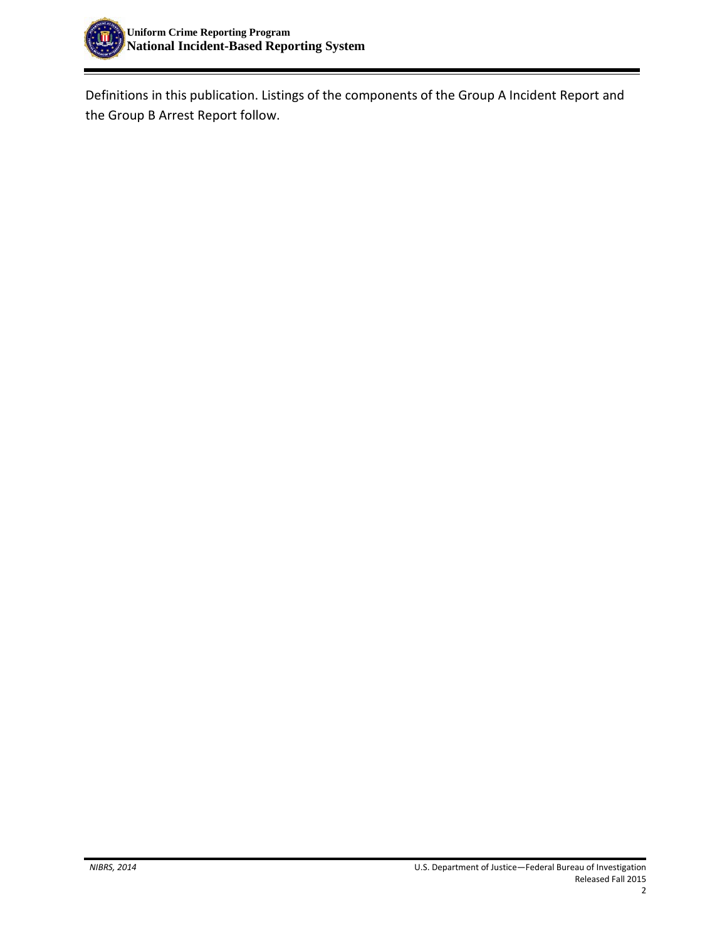

Definitions in this publication. Listings of the components of the Group A Incident Report and the Group B Arrest Report follow.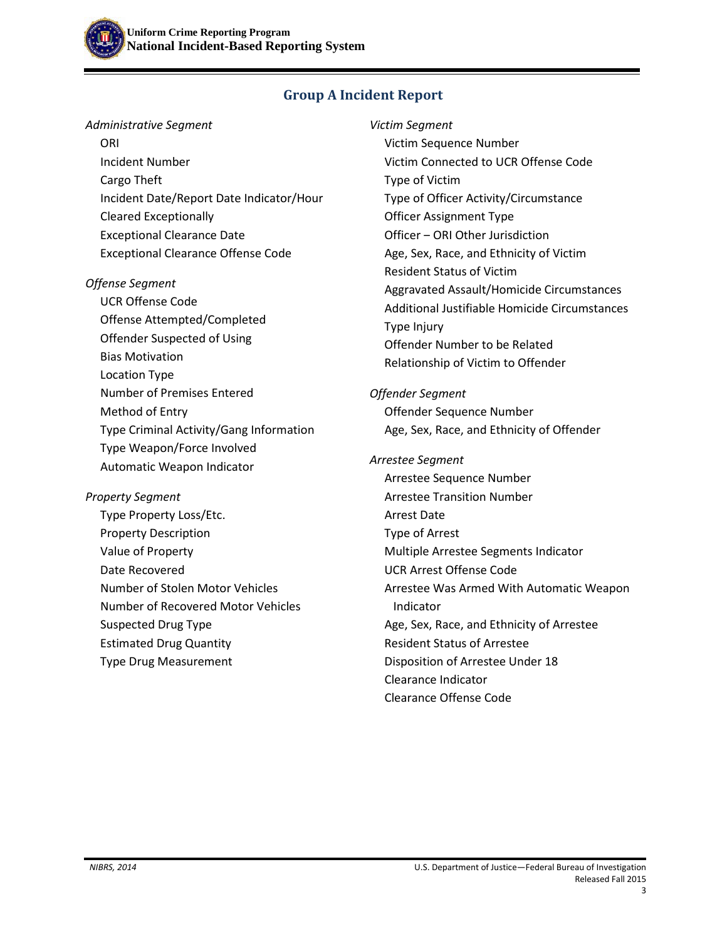## **Group A Incident Report**

#### *Administrative Segment*

**ORI**  Incident Number Cargo Theft Incident Date/Report Date Indicator/Hour Cleared Exceptionally Exceptional Clearance Date Exceptional Clearance Offense Code

#### *Offense Segment*

 UCR Offense Code Offense Attempted/Completed Offender Suspected of Using Bias Motivation Location Type Number of Premises Entered Method of Entry Type Criminal Activity/Gang Information Type Weapon/Force Involved Automatic Weapon Indicator

#### *Property Segment*

 Type Property Loss/Etc. Property Description Value of Property Date Recovered Number of Stolen Motor Vehicles Number of Recovered Motor Vehicles Suspected Drug Type Estimated Drug Quantity Type Drug Measurement

*Victim Segment* Victim Sequence Number Victim Connected to UCR Offense Code Type of Victim Type of Officer Activity/Circumstance Officer Assignment Type Officer ‒ ORI Other Jurisdiction Age, Sex, Race, and Ethnicity of Victim Resident Status of Victim Aggravated Assault/Homicide Circumstances Additional Justifiable Homicide Circumstances Type Injury Offender Number to be Related Relationship of Victim to Offender

### *Offender Segment* Offender Sequence Number

Age, Sex, Race, and Ethnicity of Offender

### *Arrestee Segment*

 Arrestee Sequence Number Arrestee Transition Number Arrest Date Type of Arrest Multiple Arrestee Segments Indicator UCR Arrest Offense Code Arrestee Was Armed With Automatic Weapon Indicator Age, Sex, Race, and Ethnicity of Arrestee Resident Status of Arrestee Disposition of Arrestee Under 18 Clearance Indicator Clearance Offense Code